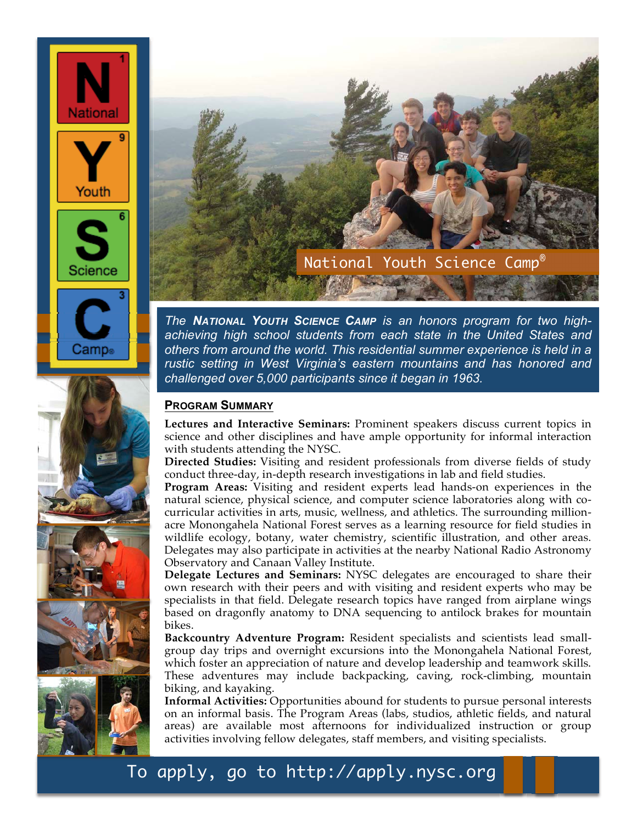





*The NATIONAL YOUTH SCIENCE CAMP is an honors program for two highachieving high school students from each state in the United States and others from around the world. This residential summer experience is held in a rustic setting in West Virginia's eastern mountains and has honored and challenged over 5,000 participants since it began in 1963.*

## **PROGRAM SUMMARY**

**Lectures and Interactive Seminars:** Prominent speakers discuss current topics in science and other disciplines and have ample opportunity for informal interaction with students attending the NYSC.

**Directed Studies:** Visiting and resident professionals from diverse fields of study conduct three-day, in-depth research investigations in lab and field studies.

**Program Areas:** Visiting and resident experts lead hands-on experiences in the natural science, physical science, and computer science laboratories along with cocurricular activities in arts, music, wellness, and athletics. The surrounding millionacre Monongahela National Forest serves as a learning resource for field studies in wildlife ecology, botany, water chemistry, scientific illustration, and other areas. Delegates may also participate in activities at the nearby National Radio Astronomy Observatory and Canaan Valley Institute.

**Delegate Lectures and Seminars:** NYSC delegates are encouraged to share their own research with their peers and with visiting and resident experts who may be specialists in that field. Delegate research topics have ranged from airplane wings based on dragonfly anatomy to DNA sequencing to antilock brakes for mountain bikes.

**Backcountry Adventure Program:** Resident specialists and scientists lead smallgroup day trips and overnight excursions into the Monongahela National Forest, which foster an appreciation of nature and develop leadership and teamwork skills. These adventures may include backpacking, caving, rock-climbing, mountain biking, and kayaking.

**Informal Activities:** Opportunities abound for students to pursue personal interests on an informal basis. The Program Areas (labs, studios, athletic fields, and natural areas) are available most afternoons for individualized instruction or group activities involving fellow delegates, staff members, and visiting specialists.